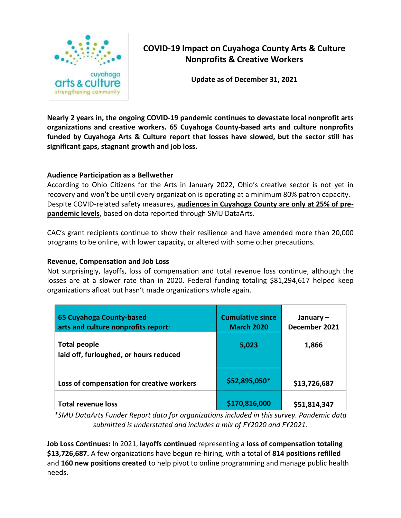

# **COVID-19 Impact on Cuyahoga County Arts & Culture Nonprofits & Creative Workers**

**Update as of December 31, 2021**

**Nearly 2 years in, the ongoing COVID-19 pandemic continues to devastate local nonprofit arts organizations and creative workers. 65 Cuyahoga County-based arts and culture nonprofits funded by Cuyahoga Arts & Culture report that losses have slowed, but the sector still has significant gaps, stagnant growth and job loss.**

#### **Audience Participation as a Bellwether**

According to Ohio Citizens for the Arts in January 2022, Ohio's creative sector is not yet in recovery and won't be until every organization is operating at a minimum 80% patron capacity. Despite COVID-related safety measures, **audiences in Cuyahoga County are only at 25% of prepandemic levels**, based on data reported through SMU DataArts.

CAC's grant recipients continue to show their resilience and have amended more than 20,000 programs to be online, with lower capacity, or altered with some other precautions.

#### **Revenue, Compensation and Job Loss**

Not surprisingly, layoffs, loss of compensation and total revenue loss continue, although the losses are at a slower rate than in 2020. Federal funding totaling \$81,294,617 helped keep organizations afloat but hasn't made organizations whole again.

| 65 Cuyahoga County-based<br>arts and culture nonprofits report: | <b>Cumulative since</b><br><b>March 2020</b> | January $-$<br>December 2021 |
|-----------------------------------------------------------------|----------------------------------------------|------------------------------|
| <b>Total people</b><br>laid off, furloughed, or hours reduced   | 5,023                                        | 1,866                        |
| Loss of compensation for creative workers                       | \$52,895,050*                                | \$13,726,687                 |
| <b>Total revenue loss</b>                                       | \$170,816,000                                | \$51,814,347                 |

*\*SMU DataArts Funder Report data for organizations included in this survey. Pandemic data submitted is understated and includes a mix of FY2020 and FY2021.* 

**Job Loss Continues:** In 2021, **layoffs continued** representing a **loss of compensation totaling \$13,726,687.** A few organizations have begun re-hiring, with a total of **814 positions refilled** and **160 new positions created** to help pivot to online programming and manage public health needs.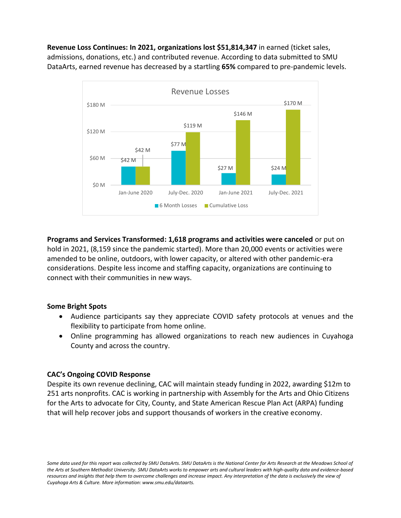**Revenue Loss Continues: In 2021, organizations lost \$51,814,347** in earned (ticket sales, admissions, donations, etc.) and contributed revenue. According to data submitted to SMU DataArts, earned revenue has decreased by a startling **65%** compared to pre-pandemic levels.



**Programs and Services Transformed: 1,618 programs and activities were canceled** or put on hold in 2021, (8,159 since the pandemic started). More than 20,000 events or activities were amended to be online, outdoors, with lower capacity, or altered with other pandemic-era considerations. Despite less income and staffing capacity, organizations are continuing to connect with their communities in new ways.

### **Some Bright Spots**

- Audience participants say they appreciate COVID safety protocols at venues and the flexibility to participate from home online.
- Online programming has allowed organizations to reach new audiences in Cuyahoga County and across the country.

### **CAC's Ongoing COVID Response**

Despite its own revenue declining, CAC will maintain steady funding in 2022, awarding \$12m to 251 arts nonprofits. CAC is working in partnership with Assembly for the Arts and Ohio Citizens for the Arts to advocate for City, County, and State American Rescue Plan Act (ARPA) funding that will help recover jobs and support thousands of workers in the creative economy.